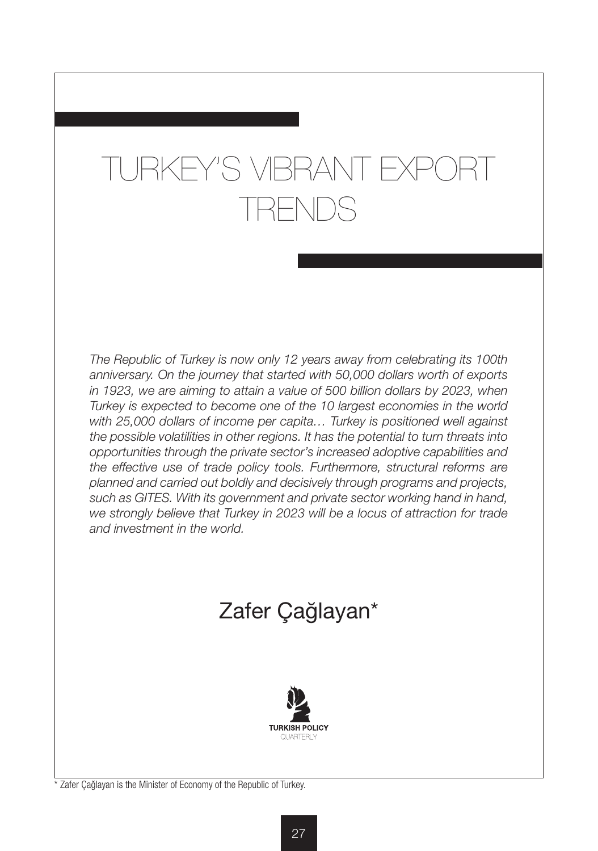# TURKEY'S VIBRANT EXPC TRENDS

*The Republic of Turkey is now only 12 years away from celebrating its 100th anniversary. On the journey that started with 50,000 dollars worth of exports*  in 1923, we are aiming to attain a value of 500 billion dollars by 2023, when *Turkey is expected to become one of the 10 largest economies in the world with 25,000 dollars of income per capita… Turkey is positioned well against the possible volatilities in other regions. It has the potential to turn threats into opportunities through the private sector's increased adoptive capabilities and the effective use of trade policy tools. Furthermore, structural reforms are planned and carried out boldly and decisively through programs and projects, such as GITES. With its government and private sector working hand in hand,*  we strongly believe that Turkey in 2023 will be a locus of attraction for trade *and investment in the world.*

## Zafer Çağlayan\*



Zafer Cağlayan is the Minister of Economy of the Republic of Turkey.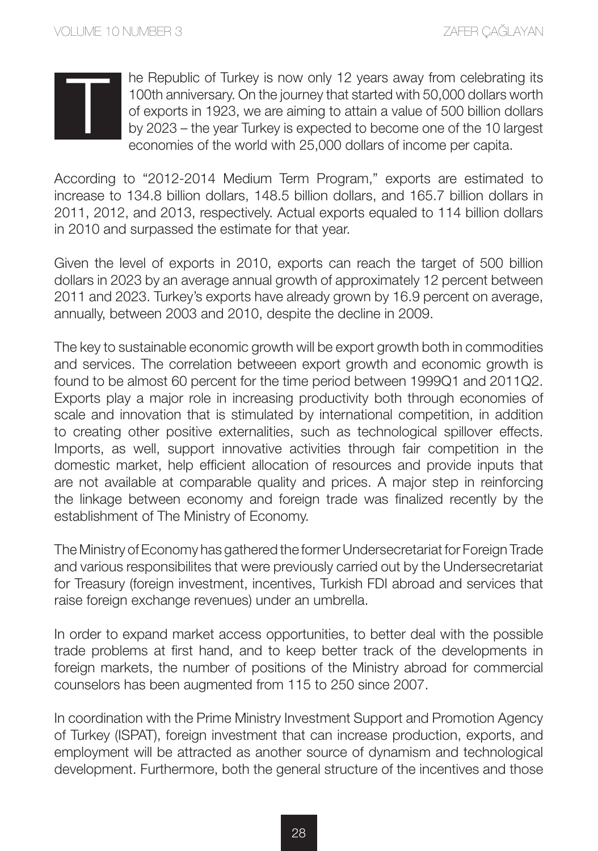he Republic of Turkey is now only 12 years away from celebrating its 100th anniversary. On the journey that started with 50,000 dollars worth of exports in 1923, we are aiming to attain a value of 500 billion dollars by 2023 – the year Turkey is expected to become one of the 10 largest economies of the world with 25,000 dollars of income per capita.

According to "2012-2014 Medium Term Program," exports are estimated to increase to 134.8 billion dollars, 148.5 billion dollars, and 165.7 billion dollars in 2011, 2012, and 2013, respectively. Actual exports equaled to 114 billion dollars in 2010 and surpassed the estimate for that year.

Given the level of exports in 2010, exports can reach the target of 500 billion dollars in 2023 by an average annual growth of approximately 12 percent between 2011 and 2023. Turkey's exports have already grown by 16.9 percent on average, annually, between 2003 and 2010, despite the decline in 2009.

The key to sustainable economic growth will be export growth both in commodities and services. The correlation betweeen export growth and economic growth is found to be almost 60 percent for the time period between 1999Q1 and 2011Q2. Exports play a major role in increasing productivity both through economies of scale and innovation that is stimulated by international competition, in addition to creating other positive externalities, such as technological spillover effects. Imports, as well, support innovative activities through fair competition in the domestic market, help efficient allocation of resources and provide inputs that are not available at comparable quality and prices. A major step in reinforcing the linkage between economy and foreign trade was finalized recently by the establishment of The Ministry of Economy.

The Ministry of Economy has gathered the former Undersecretariat for Foreign Trade and various responsibilites that were previously carried out by the Undersecretariat for Treasury (foreign investment, incentives, Turkish FDI abroad and services that raise foreign exchange revenues) under an umbrella.

In order to expand market access opportunities, to better deal with the possible trade problems at first hand, and to keep better track of the developments in foreign markets, the number of positions of the Ministry abroad for commercial counselors has been augmented from 115 to 250 since 2007.

In coordination with the Prime Ministry Investment Support and Promotion Agency of Turkey (ISPAT), foreign investment that can increase production, exports, and employment will be attracted as another source of dynamism and technological development. Furthermore, both the general structure of the incentives and those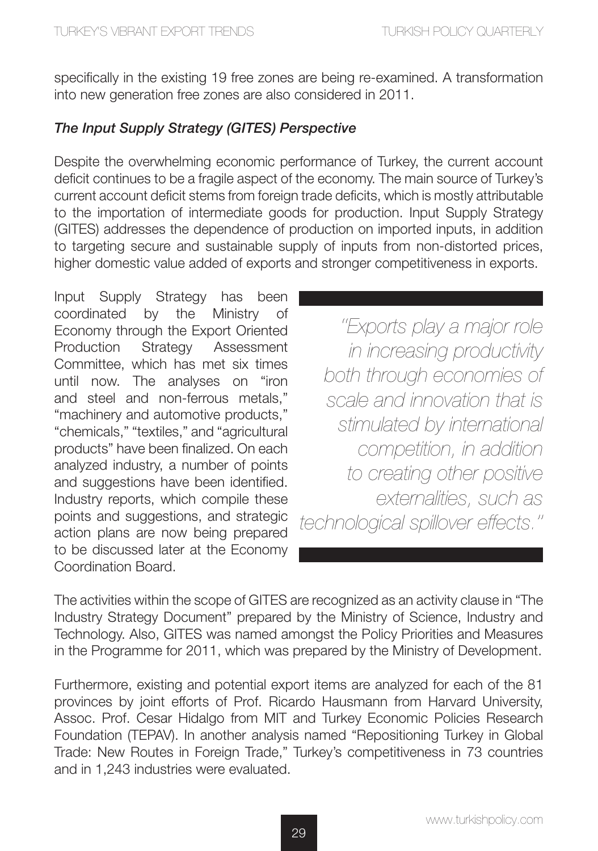specifically in the existing 19 free zones are being re-examined. A transformation into new generation free zones are also considered in 2011.

### *The Input Supply Strategy (GITES) Perspective*

Despite the overwhelming economic performance of Turkey, the current account deficit continues to be a fragile aspect of the economy. The main source of Turkey's current account deficit stems from foreign trade deficits, which is mostly attributable to the importation of intermediate goods for production. Input Supply Strategy (GITES) addresses the dependence of production on imported inputs, in addition to targeting secure and sustainable supply of inputs from non-distorted prices, higher domestic value added of exports and stronger competitiveness in exports.

Input Supply Strategy has been coordinated by the Ministry of Economy through the Export Oriented Production Strategy Assessment Committee, which has met six times until now. The analyses on "iron and steel and non-ferrous metals," "machinery and automotive products," "chemicals," "textiles," and "agricultural products" have been finalized. On each analyzed industry, a number of points and suggestions have been identified. Industry reports, which compile these points and suggestions, and strategic action plans are now being prepared to be discussed later at the Economy Coordination Board.

*''Exports play a major role in increasing productivity both through economies of scale and innovation that is stimulated by international competition, in addition to creating other positive externalities, such as technological spillover effects.''* 

The activities within the scope of GITES are recognized as an activity clause in "The Industry Strategy Document" prepared by the Ministry of Science, Industry and Technology. Also, GITES was named amongst the Policy Priorities and Measures in the Programme for 2011, which was prepared by the Ministry of Development.

Furthermore, existing and potential export items are analyzed for each of the 81 provinces by joint efforts of Prof. Ricardo Hausmann from Harvard University, Assoc. Prof. Cesar Hidalgo from MIT and Turkey Economic Policies Research Foundation (TEPAV). In another analysis named "Repositioning Turkey in Global Trade: New Routes in Foreign Trade," Turkey's competitiveness in 73 countries and in 1,243 industries were evaluated.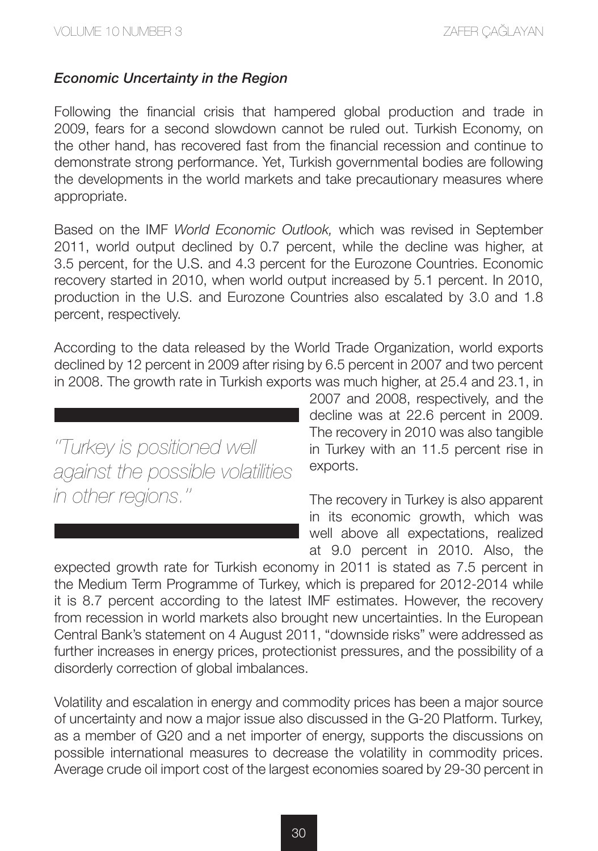#### *Economic Uncertainty in the Region*

Following the financial crisis that hampered global production and trade in 2009, fears for a second slowdown cannot be ruled out. Turkish Economy, on the other hand, has recovered fast from the financial recession and continue to demonstrate strong performance. Yet, Turkish governmental bodies are following the developments in the world markets and take precautionary measures where appropriate.

Based on the IMF *World Economic Outlook,* which was revised in September 2011, world output declined by 0.7 percent, while the decline was higher, at 3.5 percent, for the U.S. and 4.3 percent for the Eurozone Countries. Economic recovery started in 2010, when world output increased by 5.1 percent. In 2010, production in the U.S. and Eurozone Countries also escalated by 3.0 and 1.8 percent, respectively.

According to the data released by the World Trade Organization, world exports declined by 12 percent in 2009 after rising by 6.5 percent in 2007 and two percent in 2008. The growth rate in Turkish exports was much higher, at 25.4 and 23.1, in

*''Turkey is positioned well against the possible volatilities in other regions.''*

2007 and 2008, respectively, and the decline was at 22.6 percent in 2009. The recovery in 2010 was also tangible in Turkey with an 11.5 percent rise in exports.

The recovery in Turkey is also apparent in its economic growth, which was well above all expectations, realized at 9.0 percent in 2010. Also, the

expected growth rate for Turkish economy in 2011 is stated as 7.5 percent in the Medium Term Programme of Turkey, which is prepared for 2012-2014 while it is 8.7 percent according to the latest IMF estimates. However, the recovery from recession in world markets also brought new uncertainties. In the European Central Bank's statement on 4 August 2011, "downside risks" were addressed as further increases in energy prices, protectionist pressures, and the possibility of a disorderly correction of global imbalances.

Volatility and escalation in energy and commodity prices has been a major source of uncertainty and now a major issue also discussed in the G-20 Platform. Turkey, as a member of G20 and a net importer of energy, supports the discussions on possible international measures to decrease the volatility in commodity prices. Average crude oil import cost of the largest economies soared by 29-30 percent in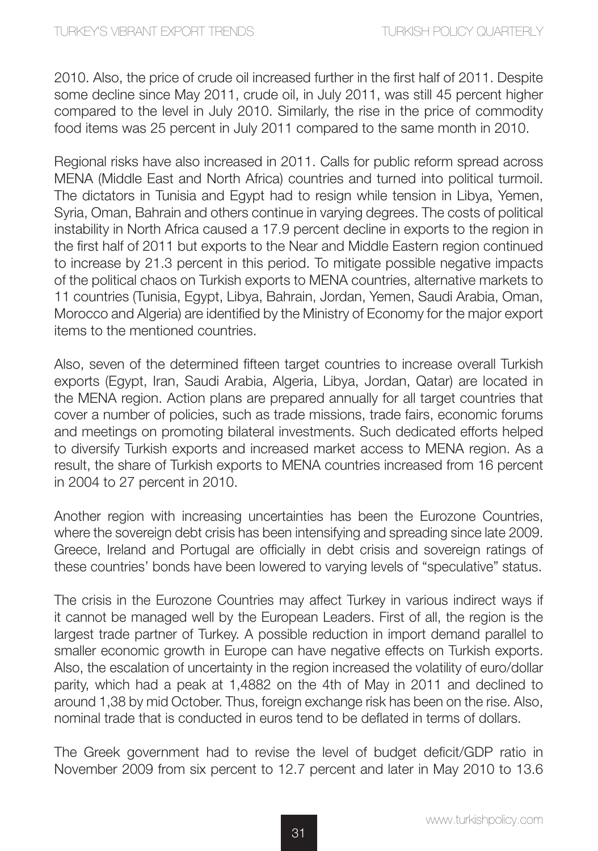2010. Also, the price of crude oil increased further in the first half of 2011. Despite some decline since May 2011, crude oil, in July 2011, was still 45 percent higher compared to the level in July 2010. Similarly, the rise in the price of commodity food items was 25 percent in July 2011 compared to the same month in 2010.

Regional risks have also increased in 2011. Calls for public reform spread across MENA (Middle East and North Africa) countries and turned into political turmoil. The dictators in Tunisia and Egypt had to resign while tension in Libya, Yemen, Syria, Oman, Bahrain and others continue in varying degrees. The costs of political instability in North Africa caused a 17.9 percent decline in exports to the region in the first half of 2011 but exports to the Near and Middle Eastern region continued to increase by 21.3 percent in this period. To mitigate possible negative impacts of the political chaos on Turkish exports to MENA countries, alternative markets to 11 countries (Tunisia, Egypt, Libya, Bahrain, Jordan, Yemen, Saudi Arabia, Oman, Morocco and Algeria) are identified by the Ministry of Economy for the major export items to the mentioned countries.

Also, seven of the determined fifteen target countries to increase overall Turkish exports (Egypt, Iran, Saudi Arabia, Algeria, Libya, Jordan, Qatar) are located in the MENA region. Action plans are prepared annually for all target countries that cover a number of policies, such as trade missions, trade fairs, economic forums and meetings on promoting bilateral investments. Such dedicated efforts helped to diversify Turkish exports and increased market access to MENA region. As a result, the share of Turkish exports to MENA countries increased from 16 percent in 2004 to 27 percent in 2010.

Another region with increasing uncertainties has been the Eurozone Countries, where the sovereign debt crisis has been intensifying and spreading since late 2009. Greece, Ireland and Portugal are officially in debt crisis and sovereign ratings of these countries' bonds have been lowered to varying levels of "speculative" status.

The crisis in the Eurozone Countries may affect Turkey in various indirect ways if it cannot be managed well by the European Leaders. First of all, the region is the largest trade partner of Turkey. A possible reduction in import demand parallel to smaller economic growth in Europe can have negative effects on Turkish exports. Also, the escalation of uncertainty in the region increased the volatility of euro/dollar parity, which had a peak at 1,4882 on the 4th of May in 2011 and declined to around 1,38 by mid October. Thus, foreign exchange risk has been on the rise. Also, nominal trade that is conducted in euros tend to be deflated in terms of dollars.

The Greek government had to revise the level of budget deficit/GDP ratio in November 2009 from six percent to 12.7 percent and later in May 2010 to 13.6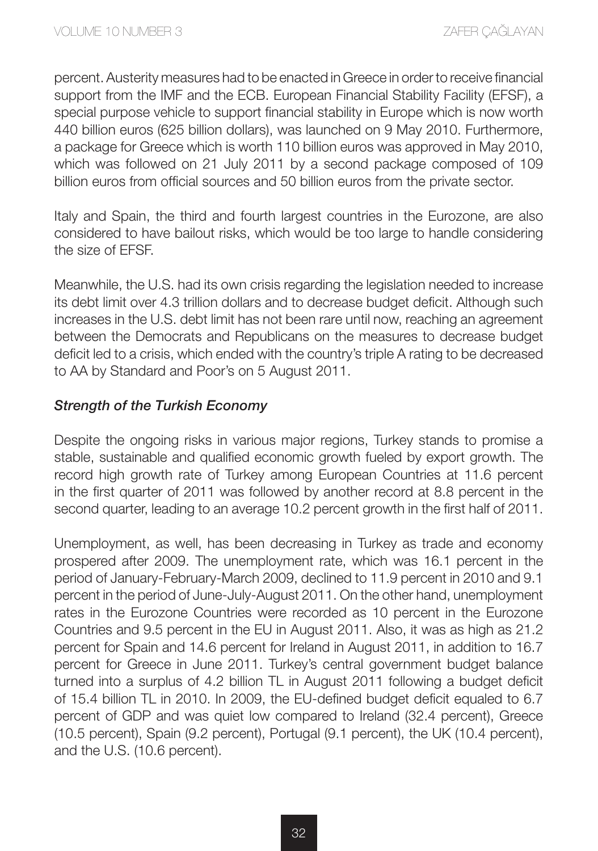percent. Austerity measures had to be enacted in Greece in order to receive financial support from the IMF and the ECB. European Financial Stability Facility (EFSF), a special purpose vehicle to support financial stability in Europe which is now worth 440 billion euros (625 billion dollars), was launched on 9 May 2010. Furthermore, a package for Greece which is worth 110 billion euros was approved in May 2010, which was followed on 21 July 2011 by a second package composed of 109 billion euros from official sources and 50 billion euros from the private sector.

Italy and Spain, the third and fourth largest countries in the Eurozone, are also considered to have bailout risks, which would be too large to handle considering the size of EFSF.

Meanwhile, the U.S. had its own crisis regarding the legislation needed to increase its debt limit over 4.3 trillion dollars and to decrease budget deficit. Although such increases in the U.S. debt limit has not been rare until now, reaching an agreement between the Democrats and Republicans on the measures to decrease budget deficit led to a crisis, which ended with the country's triple A rating to be decreased to AA by Standard and Poor's on 5 August 2011.

#### *Strength of the Turkish Economy*

Despite the ongoing risks in various major regions, Turkey stands to promise a stable, sustainable and qualified economic growth fueled by export growth. The record high growth rate of Turkey among European Countries at 11.6 percent in the first quarter of 2011 was followed by another record at 8.8 percent in the second quarter, leading to an average 10.2 percent growth in the first half of 2011.

Unemployment, as well, has been decreasing in Turkey as trade and economy prospered after 2009. The unemployment rate, which was 16.1 percent in the period of January-February-March 2009, declined to 11.9 percent in 2010 and 9.1 percent in the period of June-July-August 2011. On the other hand, unemployment rates in the Eurozone Countries were recorded as 10 percent in the Eurozone Countries and 9.5 percent in the EU in August 2011. Also, it was as high as 21.2 percent for Spain and 14.6 percent for Ireland in August 2011, in addition to 16.7 percent for Greece in June 2011. Turkey's central government budget balance turned into a surplus of 4.2 billion TL in August 2011 following a budget deficit of 15.4 billion TL in 2010. In 2009, the EU-defined budget deficit equaled to 6.7 percent of GDP and was quiet low compared to Ireland (32.4 percent), Greece (10.5 percent), Spain (9.2 percent), Portugal (9.1 percent), the UK (10.4 percent), and the U.S. (10.6 percent).